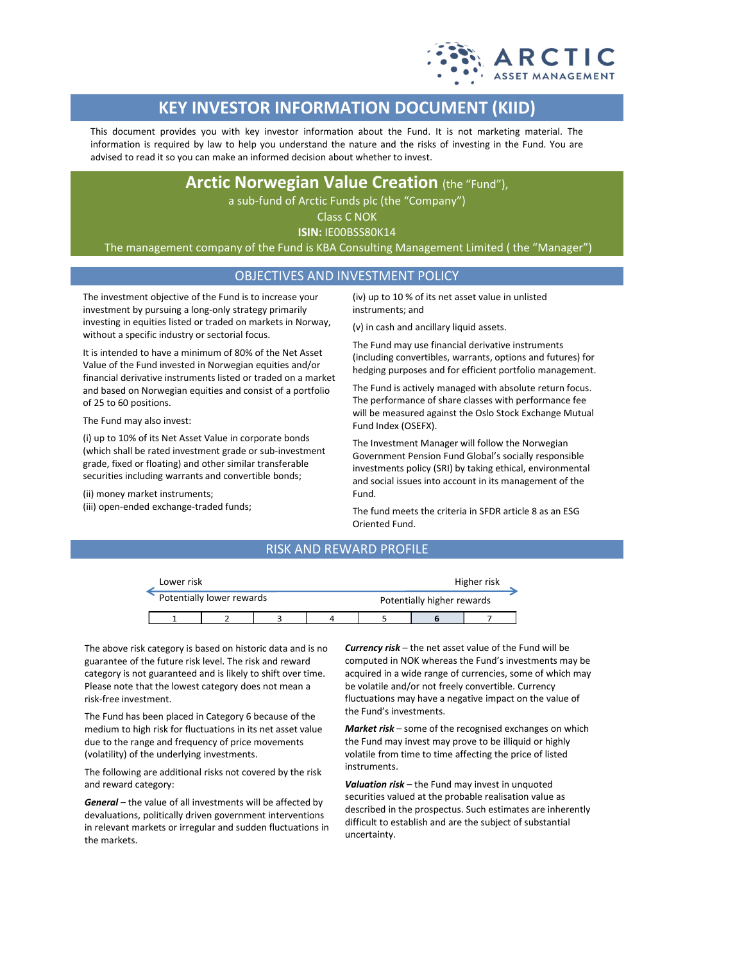

# **KEY INVESTOR INFORMATION DOCUMENT (KIID)**

This document provides you with key investor information about the Fund. It is not marketing material. The information is required by law to help you understand the nature and the risks of investing in the Fund. You are advised to read it so you can make an informed decision about whether to invest.

## **Arctic Norwegian Value Creation** (the "Fund"),

a sub-fund of Arctic Funds plc (the "Company")

Class C NOK

**ISIN:** IE00BSS80K14

The management company of the Fund is KBA Consulting Management Limited ( the "Manager")

## OBJECTIVES AND INVESTMENT POLICY

The investment objective of the Fund is to increase your investment by pursuing a long-only strategy primarily investing in equities listed or traded on markets in Norway, without a specific industry or sectorial focus.

It is intended to have a minimum of 80% of the Net Asset Value of the Fund invested in Norwegian equities and/or financial derivative instruments listed or traded on a market and based on Norwegian equities and consist of a portfolio of 25 to 60 positions.

The Fund may also invest:

(i) up to 10% of its Net Asset Value in corporate bonds (which shall be rated investment grade or sub-investment grade, fixed or floating) and other similar transferable securities including warrants and convertible bonds;

(ii) money market instruments;

(iii) open-ended exchange-traded funds;

(iv) up to 10 % of its net asset value in unlisted instruments; and

(v) in cash and ancillary liquid assets.

The Fund may use financial derivative instruments (including convertibles, warrants, options and futures) for hedging purposes and for efficient portfolio management.

The Fund is actively managed with absolute return focus. The performance of share classes with performance fee will be measured against the Oslo Stock Exchange Mutual Fund Index (OSEFX).

The Investment Manager will follow the Norwegian Government Pension Fund Global's socially responsible investments policy (SRI) by taking ethical, environmental and social issues into account in its management of the Fund.

The fund meets the criteria in SFDR article 8 as an ESG Oriented Fund.

## RISK AND REWARD PROFILE

| Lower risk                |  |  |  |                            | Higher risk |  |  |
|---------------------------|--|--|--|----------------------------|-------------|--|--|
| Potentially lower rewards |  |  |  | Potentially higher rewards |             |  |  |
|                           |  |  |  |                            |             |  |  |

The above risk category is based on historic data and is no guarantee of the future risk level. The risk and reward category is not guaranteed and is likely to shift over time. Please note that the lowest category does not mean a risk-free investment.

The Fund has been placed in Category 6 because of the medium to high risk for fluctuations in its net asset value due to the range and frequency of price movements (volatility) of the underlying investments.

The following are additional risks not covered by the risk and reward category:

*General* – the value of all investments will be affected by devaluations, politically driven government interventions in relevant markets or irregular and sudden fluctuations in the markets.

*Currency risk* – the net asset value of the Fund will be computed in NOK whereas the Fund's investments may be acquired in a wide range of currencies, some of which may be volatile and/or not freely convertible. Currency fluctuations may have a negative impact on the value of the Fund's investments.

*Market risk* – some of the recognised exchanges on which the Fund may invest may prove to be illiquid or highly volatile from time to time affecting the price of listed instruments.

*Valuation risk* – the Fund may invest in unquoted securities valued at the probable realisation value as described in the prospectus. Such estimates are inherently difficult to establish and are the subject of substantial uncertainty.